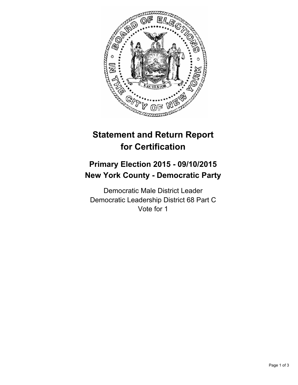

## **Statement and Return Report for Certification**

## **Primary Election 2015 - 09/10/2015 New York County - Democratic Party**

Democratic Male District Leader Democratic Leadership District 68 Part C Vote for 1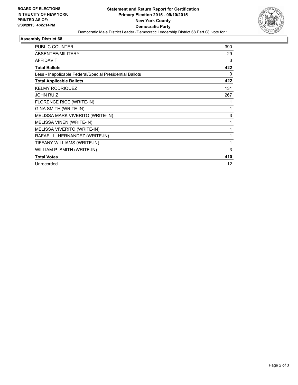

## **Assembly District 68**

| <b>PUBLIC COUNTER</b>                                    | 390      |
|----------------------------------------------------------|----------|
|                                                          |          |
| <b>ABSENTEE/MILITARY</b>                                 | 29       |
| <b>AFFIDAVIT</b>                                         | 3        |
| <b>Total Ballots</b>                                     | 422      |
| Less - Inapplicable Federal/Special Presidential Ballots | $\Omega$ |
| <b>Total Applicable Ballots</b>                          | 422      |
| <b>KELMY RODRIQUEZ</b>                                   | 131      |
| <b>JOHN RUIZ</b>                                         | 267      |
| FLORENCE RICE (WRITE-IN)                                 |          |
| GINA SMITH (WRITE-IN)                                    | 1        |
| MELISSA MARK VIVERITO (WRITE-IN)                         | 3        |
| MELISSA VINEN (WRITE-IN)                                 | 1        |
| MELISSA VIVERITO (WRITE-IN)                              |          |
| RAFAEL L. HERNANDEZ (WRITE-IN)                           | 1        |
| TIFFANY WILLIAMS (WRITE-IN)                              | 1        |
| WILLIAM P. SMITH (WRITE-IN)                              | 3        |
| <b>Total Votes</b>                                       | 410      |
| Unrecorded                                               | 12       |